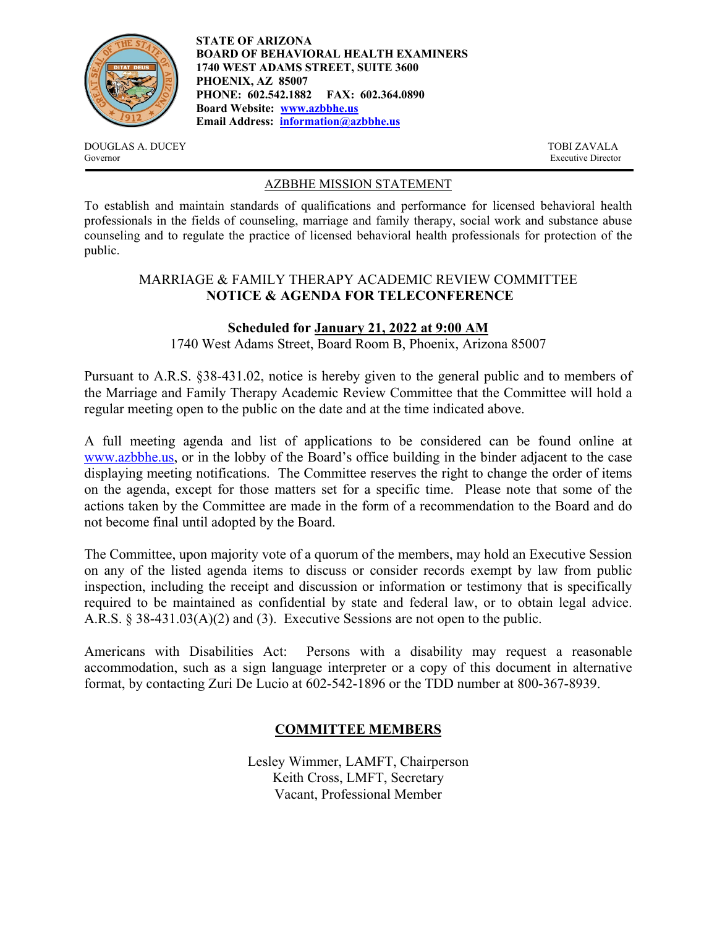

**STATE OF ARIZONA BOARD OF BEHAVIORAL HEALTH EXAMINERS 1740 WEST ADAMS STREET, SUITE 3600 PHOENIX, AZ 85007 PHONE: 602.542.1882 FAX: 602.364.0890 Board Website: [www.azbbhe.us](http://www.azbbhe.us/) Email Address: [information@azbbhe.us](mailto:information@azbbhe.us)**

DOUGLAS A. DUCEY TOBI ZAVALA Governor Executive Director

### AZBBHE MISSION STATEMENT

To establish and maintain standards of qualifications and performance for licensed behavioral health professionals in the fields of counseling, marriage and family therapy, social work and substance abuse counseling and to regulate the practice of licensed behavioral health professionals for protection of the public.

# MARRIAGE & FAMILY THERAPY ACADEMIC REVIEW COMMITTEE **NOTICE & AGENDA FOR TELECONFERENCE**

# **Scheduled for January 21, 2022 at 9:00 AM**

1740 West Adams Street, Board Room B, Phoenix, Arizona 85007

Pursuant to A.R.S. §38-431.02, notice is hereby given to the general public and to members of the Marriage and Family Therapy Academic Review Committee that the Committee will hold a regular meeting open to the public on the date and at the time indicated above.

A full meeting agenda and list of applications to be considered can be found online at [www.azbbhe.us,](http://www.azbbhe.us/) or in the lobby of the Board's office building in the binder adjacent to the case displaying meeting notifications. The Committee reserves the right to change the order of items on the agenda, except for those matters set for a specific time. Please note that some of the actions taken by the Committee are made in the form of a recommendation to the Board and do not become final until adopted by the Board.

The Committee, upon majority vote of a quorum of the members, may hold an Executive Session on any of the listed agenda items to discuss or consider records exempt by law from public inspection, including the receipt and discussion or information or testimony that is specifically required to be maintained as confidential by state and federal law, or to obtain legal advice. A.R.S. § 38-431.03(A)(2) and (3). Executive Sessions are not open to the public.

Americans with Disabilities Act: Persons with a disability may request a reasonable accommodation, such as a sign language interpreter or a copy of this document in alternative format, by contacting Zuri De Lucio at 602-542-1896 or the TDD number at 800-367-8939.

# **COMMITTEE MEMBERS**

Lesley Wimmer, LAMFT, Chairperson Keith Cross, LMFT, Secretary Vacant, Professional Member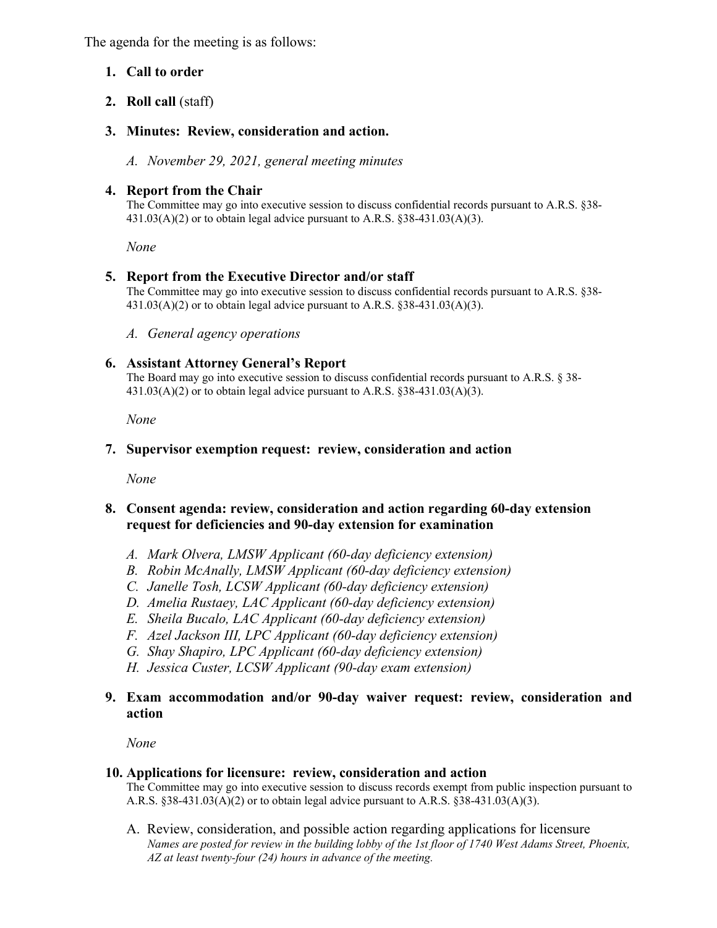The agenda for the meeting is as follows:

# **1. Call to order**

**2. Roll call** (staff)

# **3. Minutes: Review, consideration and action.**

*A. November 29, 2021, general meeting minutes*

## **4. Report from the Chair**

The Committee may go into executive session to discuss confidential records pursuant to A.R.S. §38-  $431.03(A)(2)$  or to obtain legal advice pursuant to A.R.S. §38-431.03(A)(3).

*None*

## **5. Report from the Executive Director and/or staff**

The Committee may go into executive session to discuss confidential records pursuant to A.R.S. §38-  $431.03(A)(2)$  or to obtain legal advice pursuant to A.R.S. §38-431.03(A)(3).

*A. General agency operations*

## **6. Assistant Attorney General's Report**

The Board may go into executive session to discuss confidential records pursuant to A.R.S. § 38-  $431.03(A)(2)$  or to obtain legal advice pursuant to A.R.S. §38-431.03(A)(3).

 *None*

### **7. Supervisor exemption request: review, consideration and action**

*None* 

## **8. Consent agenda: review, consideration and action regarding 60-day extension request for deficiencies and 90-day extension for examination**

- *A. Mark Olvera, LMSW Applicant (60-day deficiency extension)*
- *B. Robin McAnally, LMSW Applicant (60-day deficiency extension)*
- *C. Janelle Tosh, LCSW Applicant (60-day deficiency extension)*
- *D. Amelia Rustaey, LAC Applicant (60-day deficiency extension)*
- *E. Sheila Bucalo, LAC Applicant (60-day deficiency extension)*
- *F. Azel Jackson III, LPC Applicant (60-day deficiency extension)*
- *G. Shay Shapiro, LPC Applicant (60-day deficiency extension)*
- *H. Jessica Custer, LCSW Applicant (90-day exam extension)*

# **9. Exam accommodation and/or 90-day waiver request: review, consideration and action**

*None* 

## **10. Applications for licensure: review, consideration and action**

The Committee may go into executive session to discuss records exempt from public inspection pursuant to A.R.S.  $§38-431.03(A)(2)$  or to obtain legal advice pursuant to A.R.S.  $§38-431.03(A)(3)$ .

A. Review, consideration, and possible action regarding applications for licensure *Names are posted for review in the building lobby of the 1st floor of 1740 West Adams Street, Phoenix, AZ at least twenty-four (24) hours in advance of the meeting.*